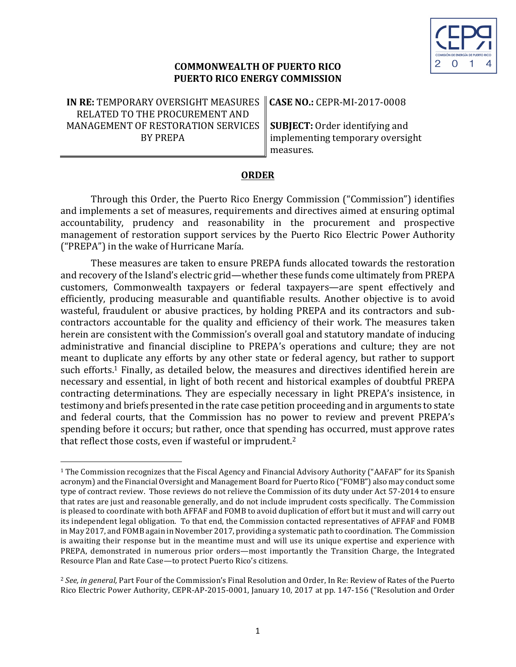

### **COMMONWEALTH OF PUERTO RICO PUERTO RICO ENERGY COMMISSION**

**IN RE: TEMPORARY OVERSIGHT MEASURES** RELATED TO THE PROCUREMENT AND MANAGEMENT OF RESTORATION SERVICES BY PREPA

<u> 1989 - Johann Barn, mars ann an t-Amhain an t-Amhain an t-Amhain an t-Amhain an t-Amhain an t-Amhain an t-Amh</u>

**CASE NO.: CEPR-MI-2017-0008** 

**SUBJECT:** Order identifying and implementing temporary oversight measures.

#### **ORDER**

Through this Order, the Puerto Rico Energy Commission ("Commission") identifies and implements a set of measures, requirements and directives aimed at ensuring optimal accountability, prudency and reasonability in the procurement and prospective management of restoration support services by the Puerto Rico Electric Power Authority ("PREPA") in the wake of Hurricane María.

These measures are taken to ensure PREPA funds allocated towards the restoration and recovery of the Island's electric grid—whether these funds come ultimately from PREPA customers, Commonwealth taxpayers or federal taxpayers—are spent effectively and efficiently, producing measurable and quantifiable results. Another objective is to avoid wasteful, fraudulent or abusive practices, by holding PREPA and its contractors and subcontractors accountable for the quality and efficiency of their work. The measures taken herein are consistent with the Commission's overall goal and statutory mandate of inducing administrative and financial discipline to PREPA's operations and culture; they are not meant to duplicate any efforts by any other state or federal agency, but rather to support such efforts.<sup>1</sup> Finally, as detailed below, the measures and directives identified herein are necessary and essential, in light of both recent and historical examples of doubtful PREPA contracting determinations. They are especially necessary in light PREPA's insistence, in testimony and briefs presented in the rate case petition proceeding and in arguments to state and federal courts, that the Commission has no power to review and prevent PREPA's spending before it occurs; but rather, once that spending has occurred, must approve rates that reflect those costs, even if wasteful or imprudent.<sup>2</sup>

 $1$  The Commission recognizes that the Fiscal Agency and Financial Advisory Authority ("AAFAF" for its Spanish acronym) and the Financial Oversight and Management Board for Puerto Rico ("FOMB") also may conduct some type of contract review. Those reviews do not relieve the Commission of its duty under Act 57-2014 to ensure that rates are just and reasonable generally, and do not include imprudent costs specifically. The Commission is pleased to coordinate with both AFFAF and FOMB to avoid duplication of effort but it must and will carry out its independent legal obligation. To that end, the Commission contacted representatives of AFFAF and FOMB in May 2017, and FOMB again in November 2017, providing a systematic path to coordination. The Commission is awaiting their response but in the meantime must and will use its unique expertise and experience with PREPA, demonstrated in numerous prior orders—most importantly the Transition Charge, the Integrated Resource Plan and Rate Case-to protect Puerto Rico's citizens.

<sup>&</sup>lt;sup>2</sup> See, in general, Part Four of the Commission's Final Resolution and Order, In Re: Review of Rates of the Puerto Rico Electric Power Authority, CEPR-AP-2015-0001, January 10, 2017 at pp. 147-156 ("Resolution and Order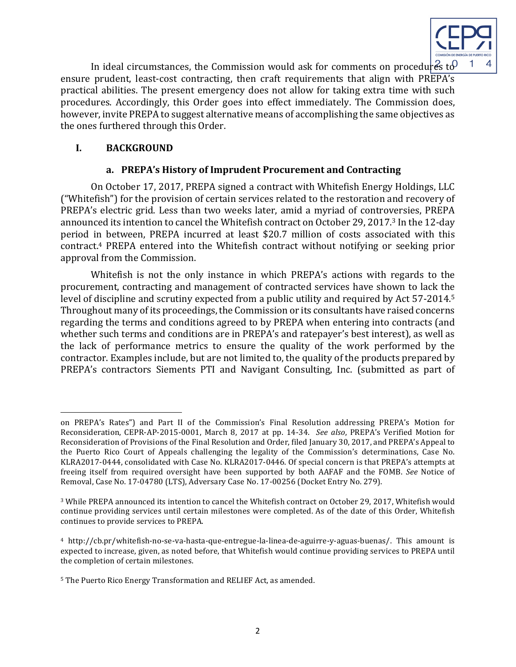

In ideal circumstances, the Commission would ask for comments on procedures to  $\theta$ ensure prudent, least-cost contracting, then craft requirements that align with PREPA's practical abilities. The present emergency does not allow for taking extra time with such procedures. Accordingly, this Order goes into effect immediately. The Commission does, however, invite PREPA to suggest alternative means of accomplishing the same objectives as the ones furthered through this Order.

## **I. BACKGROUND**

<u> 1989 - Johann Barn, mars ann an t-Amhain an t-Amhain an t-Amhain an t-Amhain an t-Amhain an t-Amhain an t-Amh</u>

## **a. PREPA's History of Imprudent Procurement and Contracting**

On October 17, 2017, PREPA signed a contract with Whitefish Energy Holdings, LLC ("Whitefish") for the provision of certain services related to the restoration and recovery of PREPA's electric grid. Less than two weeks later, amid a myriad of controversies, PREPA announced its intention to cancel the Whitefish contract on October 29, 2017.<sup>3</sup> In the 12-day period in between, PREPA incurred at least \$20.7 million of costs associated with this contract.<sup>4</sup> PREPA entered into the Whitefish contract without notifying or seeking prior approval from the Commission.

Whitefish is not the only instance in which PREPA's actions with regards to the procurement, contracting and management of contracted services have shown to lack the level of discipline and scrutiny expected from a public utility and required by Act 57-2014.<sup>5</sup> Throughout many of its proceedings, the Commission or its consultants have raised concerns regarding the terms and conditions agreed to by PREPA when entering into contracts (and whether such terms and conditions are in PREPA's and ratepayer's best interest), as well as the lack of performance metrics to ensure the quality of the work performed by the contractor. Examples include, but are not limited to, the quality of the products prepared by PREPA's contractors Siements PTI and Navigant Consulting, Inc. (submitted as part of

on PREPA's Rates") and Part II of the Commission's Final Resolution addressing PREPA's Motion for Reconsideration, CEPR-AP-2015-0001, March 8, 2017 at pp. 14-34. See also, PREPA's Verified Motion for Reconsideration of Provisions of the Final Resolution and Order, filed January 30, 2017, and PREPA's Appeal to the Puerto Rico Court of Appeals challenging the legality of the Commission's determinations, Case No. KLRA2017-0444, consolidated with Case No. KLRA2017-0446. Of special concern is that PREPA's attempts at freeing itself from required oversight have been supported by both AAFAF and the FOMB. See Notice of Removal, Case No. 17-04780 (LTS), Adversary Case No. 17-00256 (Docket Entry No. 279).

<sup>&</sup>lt;sup>3</sup> While PREPA announced its intention to cancel the Whitefish contract on October 29, 2017, Whitefish would continue providing services until certain milestones were completed. As of the date of this Order, Whitefish continues to provide services to PREPA.

<sup>&</sup>lt;sup>4</sup> http://cb.pr/whitefish-no-se-va-hasta-que-entregue-la-linea-de-aguirre-y-aguas-buenas/. This amount is expected to increase, given, as noted before, that Whitefish would continue providing services to PREPA until the completion of certain milestones.

<sup>&</sup>lt;sup>5</sup> The Puerto Rico Energy Transformation and RELIEF Act, as amended.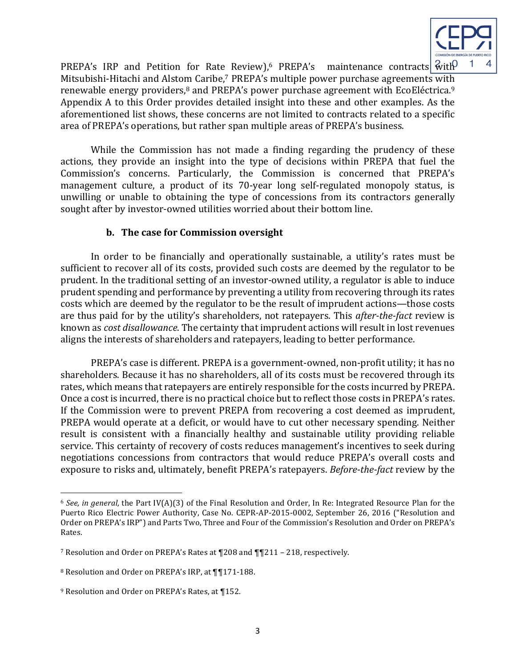

PREPA's IRP and Petition for Rate Review), PREPA's maintenance contracts with Mitsubishi-Hitachi and Alstom Caribe,<sup>7</sup> PREPA's multiple power purchase agreements with renewable energy providers,<sup>8</sup> and PREPA's power purchase agreement with EcoEléctrica.<sup>9</sup> Appendix A to this Order provides detailed insight into these and other examples. As the aforementioned list shows, these concerns are not limited to contracts related to a specific area of PREPA's operations, but rather span multiple areas of PREPA's business.

While the Commission has not made a finding regarding the prudency of these actions, they provide an insight into the type of decisions within PREPA that fuel the Commission's concerns. Particularly, the Commission is concerned that PREPA's management culture, a product of its 70-year long self-regulated monopoly status, is unwilling or unable to obtaining the type of concessions from its contractors generally sought after by investor-owned utilities worried about their bottom line.

### **b.** The case for Commission oversight

In order to be financially and operationally sustainable, a utility's rates must be sufficient to recover all of its costs, provided such costs are deemed by the regulator to be prudent. In the traditional setting of an investor-owned utility, a regulator is able to induce prudent spending and performance by preventing a utility from recovering through its rates costs which are deemed by the regulator to be the result of imprudent actions—those costs are thus paid for by the utility's shareholders, not ratepayers. This *after-the-fact* review is known as *cost disallowance*. The certainty that imprudent actions will result in lost revenues aligns the interests of shareholders and ratepayers, leading to better performance.

PREPA's case is different. PREPA is a government-owned, non-profit utility; it has no shareholders. Because it has no shareholders, all of its costs must be recovered through its rates, which means that ratepayers are entirely responsible for the costs incurred by PREPA. Once a cost is incurred, there is no practical choice but to reflect those costs in PREPA's rates. If the Commission were to prevent PREPA from recovering a cost deemed as imprudent, PREPA would operate at a deficit, or would have to cut other necessary spending. Neither result is consistent with a financially healthy and sustainable utility providing reliable service. This certainty of recovery of costs reduces management's incentives to seek during negotiations concessions from contractors that would reduce PREPA's overall costs and exposure to risks and, ultimately, benefit PREPA's ratepayers. *Before-the-fact* review by the

<u> 1989 - Johann Barn, mars ann an t-Amhain an t-Amhain an t-Amhain an t-Amhain an t-Amhain an t-Amhain an t-Amh</u>

 $6$  *See, in general,* the Part IV(A)(3) of the Final Resolution and Order, In Re: Integrated Resource Plan for the Puerto Rico Electric Power Authority, Case No. CEPR-AP-2015-0002, September 26, 2016 ("Resolution and Order on PREPA's IRP") and Parts Two, Three and Four of the Commission's Resolution and Order on PREPA's Rates. 

<sup>&</sup>lt;sup>7</sup> Resolution and Order on PREPA's Rates at  $\P$ 208 and  $\P$  $\P$ 211 – 218, respectively.

<sup>8</sup> Resolution and Order on PREPA's IRP, at 1171-188.

<sup>&</sup>lt;sup>9</sup> Resolution and Order on PREPA's Rates, at ¶152.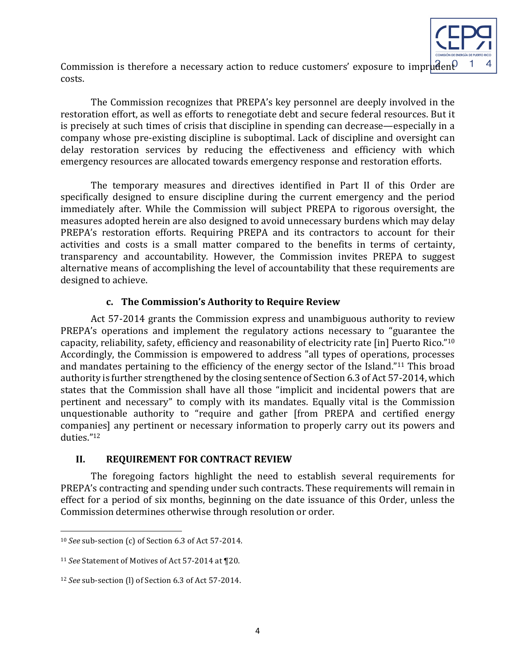

Commission is therefore a necessary action to reduce customers' exposure to imprudent costs. 

The Commission recognizes that PREPA's key personnel are deeply involved in the restoration effort, as well as efforts to renegotiate debt and secure federal resources. But it is precisely at such times of crisis that discipline in spending can decrease—especially in a company whose pre-existing discipline is suboptimal. Lack of discipline and oversight can delay restoration services by reducing the effectiveness and efficiency with which emergency resources are allocated towards emergency response and restoration efforts.

The temporary measures and directives identified in Part II of this Order are specifically designed to ensure discipline during the current emergency and the period immediately after. While the Commission will subject PREPA to rigorous oversight, the measures adopted herein are also designed to avoid unnecessary burdens which may delay PREPA's restoration efforts. Requiring PREPA and its contractors to account for their activities and costs is a small matter compared to the benefits in terms of certainty, transparency and accountability. However, the Commission invites PREPA to suggest alternative means of accomplishing the level of accountability that these requirements are designed to achieve.

## **c. The Commission's Authority to Require Review**

Act 57-2014 grants the Commission express and unambiguous authority to review PREPA's operations and implement the regulatory actions necessary to "guarantee the capacity, reliability, safety, efficiency and reasonability of electricity rate [in] Puerto Rico."<sup>10</sup> Accordingly, the Commission is empowered to address "all types of operations, processes and mandates pertaining to the efficiency of the energy sector of the Island."<sup>11</sup> This broad authority is further strengthened by the closing sentence of Section 6.3 of Act 57-2014, which states that the Commission shall have all those "implicit and incidental powers that are pertinent and necessary" to comply with its mandates. Equally vital is the Commission unquestionable authority to "require and gather [from PREPA and certified energy companies] any pertinent or necessary information to properly carry out its powers and duties."12

# **II. REQUIREMENT FOR CONTRACT REVIEW**

The foregoing factors highlight the need to establish several requirements for PREPA's contracting and spending under such contracts. These requirements will remain in effect for a period of six months, beginning on the date issuance of this Order, unless the Commission determines otherwise through resolution or order.

<u> 1989 - Johann Barn, mars ann an t-Amhain an t-Amhain an t-Amhain an t-Amhain an t-Amhain an t-Amhain an t-Amh</u>

<sup>&</sup>lt;sup>10</sup> *See* sub-section (c) of Section 6.3 of Act 57-2014.

<sup>&</sup>lt;sup>11</sup> *See* Statement of Motives of Act 57-2014 at ¶20.

<sup>&</sup>lt;sup>12</sup> *See* sub-section (l) of Section 6.3 of Act 57-2014.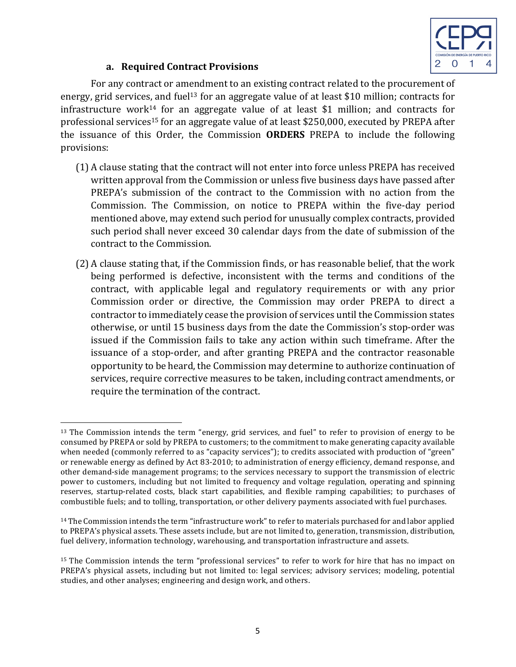

# **a. Required Contract Provisions**

For any contract or amendment to an existing contract related to the procurement of energy, grid services, and fuel<sup>13</sup> for an aggregate value of at least \$10 million; contracts for infrastructure work<sup>14</sup> for an aggregate value of at least \$1 million; and contracts for professional services<sup>15</sup> for an aggregate value of at least \$250,000, executed by PREPA after the issuance of this Order, the Commission **ORDERS** PREPA to include the following provisions:

- (1) A clause stating that the contract will not enter into force unless PREPA has received written approval from the Commission or unless five business days have passed after PREPA's submission of the contract to the Commission with no action from the Commission. The Commission, on notice to PREPA within the five-day period mentioned above, may extend such period for unusually complex contracts, provided such period shall never exceed 30 calendar days from the date of submission of the contract to the Commission.
- (2) A clause stating that, if the Commission finds, or has reasonable belief, that the work being performed is defective, inconsistent with the terms and conditions of the contract, with applicable legal and regulatory requirements or with any prior Commission order or directive, the Commission may order PREPA to direct a contractor to immediately cease the provision of services until the Commission states otherwise, or until 15 business days from the date the Commission's stop-order was issued if the Commission fails to take any action within such timeframe. After the issuance of a stop-order, and after granting PREPA and the contractor reasonable opportunity to be heard, the Commission may determine to authorize continuation of services, require corrective measures to be taken, including contract amendments, or require the termination of the contract.

  $13$  The Commission intends the term "energy, grid services, and fuel" to refer to provision of energy to be consumed by PREPA or sold by PREPA to customers; to the commitment to make generating capacity available when needed (commonly referred to as "capacity services"); to credits associated with production of "green" or renewable energy as defined by Act 83-2010; to administration of energy efficiency, demand response, and other demand-side management programs; to the services necessary to support the transmission of electric power to customers, including but not limited to frequency and voltage regulation, operating and spinning reserves, startup-related costs, black start capabilities, and flexible ramping capabilities; to purchases of combustible fuels; and to tolling, transportation, or other delivery payments associated with fuel purchases.

 $14$  The Commission intends the term "infrastructure work" to refer to materials purchased for and labor applied to PREPA's physical assets. These assets include, but are not limited to, generation, transmission, distribution, fuel delivery, information technology, warehousing, and transportation infrastructure and assets.

<sup>&</sup>lt;sup>15</sup> The Commission intends the term "professional services" to refer to work for hire that has no impact on PREPA's physical assets, including but not limited to: legal services; advisory services; modeling, potential studies, and other analyses; engineering and design work, and others.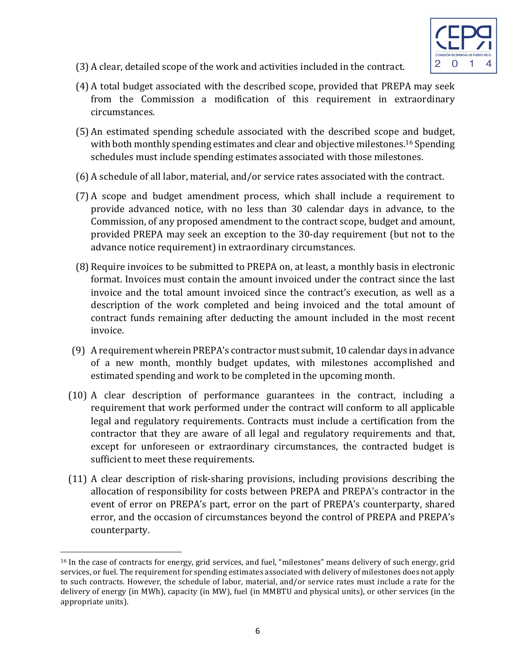

- (3) A clear, detailed scope of the work and activities included in the contract.
- $(4)$  A total budget associated with the described scope, provided that PREPA may seek from the Commission a modification of this requirement in extraordinary circumstances.
- (5) An estimated spending schedule associated with the described scope and budget, with both monthly spending estimates and clear and objective milestones.<sup>16</sup> Spending schedules must include spending estimates associated with those milestones.
- (6) A schedule of all labor, material, and/or service rates associated with the contract.
- (7) A scope and budget amendment process, which shall include a requirement to provide advanced notice, with no less than 30 calendar days in advance, to the Commission, of any proposed amendment to the contract scope, budget and amount, provided PREPA may seek an exception to the 30-day requirement (but not to the advance notice requirement) in extraordinary circumstances.
- (8) Require invoices to be submitted to PREPA on, at least, a monthly basis in electronic format. Invoices must contain the amount invoiced under the contract since the last invoice and the total amount invoiced since the contract's execution, as well as a description of the work completed and being invoiced and the total amount of contract funds remaining after deducting the amount included in the most recent invoice.
- (9) A requirement wherein PREPA's contractor must submit, 10 calendar days in advance of a new month, monthly budget updates, with milestones accomplished and estimated spending and work to be completed in the upcoming month.
- (10) A clear description of performance guarantees in the contract, including a requirement that work performed under the contract will conform to all applicable legal and regulatory requirements. Contracts must include a certification from the contractor that they are aware of all legal and regulatory requirements and that, except for unforeseen or extraordinary circumstances, the contracted budget is sufficient to meet these requirements.
- $(11)$  A clear description of risk-sharing provisions, including provisions describing the allocation of responsibility for costs between PREPA and PREPA's contractor in the event of error on PREPA's part, error on the part of PREPA's counterparty, shared error, and the occasion of circumstances beyond the control of PREPA and PREPA's counterparty.

 

 $16$  In the case of contracts for energy, grid services, and fuel, "milestones" means delivery of such energy, grid services, or fuel. The requirement for spending estimates associated with delivery of milestones does not apply to such contracts. However, the schedule of labor, material, and/or service rates must include a rate for the delivery of energy (in MWh), capacity (in MW), fuel (in MMBTU and physical units), or other services (in the appropriate units).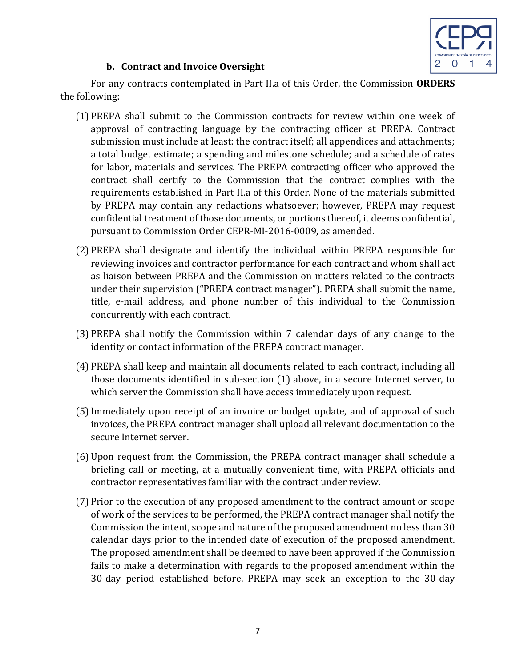

# **b.** Contract and Invoice Oversight

For any contracts contemplated in Part II.a of this Order, the Commission ORDERS the following:

- (1) PREPA shall submit to the Commission contracts for review within one week of approval of contracting language by the contracting officer at PREPA. Contract submission must include at least: the contract itself; all appendices and attachments; a total budget estimate; a spending and milestone schedule; and a schedule of rates for labor, materials and services. The PREPA contracting officer who approved the contract shall certify to the Commission that the contract complies with the requirements established in Part II.a of this Order. None of the materials submitted by PREPA may contain any redactions whatsoever; however, PREPA may request confidential treatment of those documents, or portions thereof, it deems confidential, pursuant to Commission Order CEPR-MI-2016-0009, as amended.
- (2) PREPA shall designate and identify the individual within PREPA responsible for reviewing invoices and contractor performance for each contract and whom shall act as liaison between PREPA and the Commission on matters related to the contracts under their supervision ("PREPA contract manager"). PREPA shall submit the name, title, e-mail address, and phone number of this individual to the Commission concurrently with each contract.
- (3) PREPA shall notify the Commission within 7 calendar days of any change to the identity or contact information of the PREPA contract manager.
- (4) PREPA shall keep and maintain all documents related to each contract, including all those documents identified in sub-section (1) above, in a secure Internet server, to which server the Commission shall have access immediately upon request.
- (5) Immediately upon receipt of an invoice or budget update, and of approval of such invoices, the PREPA contract manager shall upload all relevant documentation to the secure Internet server.
- (6) Upon request from the Commission, the PREPA contract manager shall schedule a briefing call or meeting, at a mutually convenient time, with PREPA officials and contractor representatives familiar with the contract under review.
- (7) Prior to the execution of any proposed amendment to the contract amount or scope of work of the services to be performed, the PREPA contract manager shall notify the Commission the intent, scope and nature of the proposed amendment no less than 30 calendar days prior to the intended date of execution of the proposed amendment. The proposed amendment shall be deemed to have been approved if the Commission fails to make a determination with regards to the proposed amendment within the 30-day period established before. PREPA may seek an exception to the 30-day